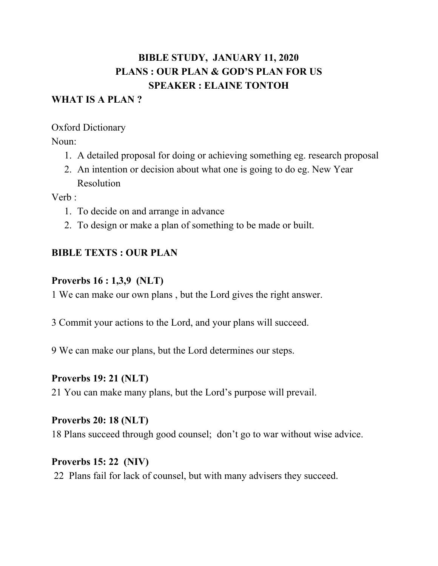# **BIBLE STUDY, JANUARY 11, 2020 PLANS : OUR PLAN & GOD'S PLAN FOR US SPEAKER : ELAINE TONTOH**

#### **WHAT IS A PLAN ?**

#### Oxford Dictionary

Noun:

- 1. A detailed proposal for doing or achieving something eg. research proposal
- 2. An intention or decision about what one is going to do eg. New Year Resolution

Verb :

- 1. To decide on and arrange in advance
- 2. To design or make a plan of something to be made or built.

# **BIBLE TEXTS : OUR PLAN**

## **Proverbs 16 : 1,3,9 (NLT)**

1 We can make our own plans , but the Lord gives the right answer.

- 3 Commit your actions to the Lord, and your plans will succeed.
- 9 We can make our plans, but the Lord determines our steps.

#### **Proverbs 19: 21 (NLT)**

21 You can make many plans, but the Lord's purpose will prevail.

# **Proverbs 20: 18 (NLT)**

18 Plans succeed through good counsel; don't go to war without wise advice.

#### **Proverbs 15: 22 (NIV)**

22 Plans fail for lack of counsel, but with many advisers they succeed.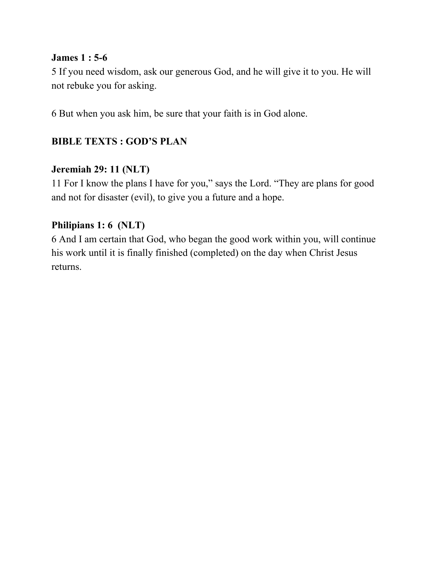#### **James 1 : 5-6**

5 If you need wisdom, ask our generous God, and he will give it to you. He will not rebuke you for asking.

6 But when you ask him, be sure that your faith is in God alone.

# **BIBLE TEXTS : GOD'S PLAN**

#### **Jeremiah 29: 11 (NLT)**

11 For I know the plans I have for you," says the Lord. "They are plans for good and not for disaster (evil), to give you a future and a hope.

## **Philipians 1: 6 (NLT)**

6 And I am certain that God, who began the good work within you, will continue his work until it is finally finished (completed) on the day when Christ Jesus returns.